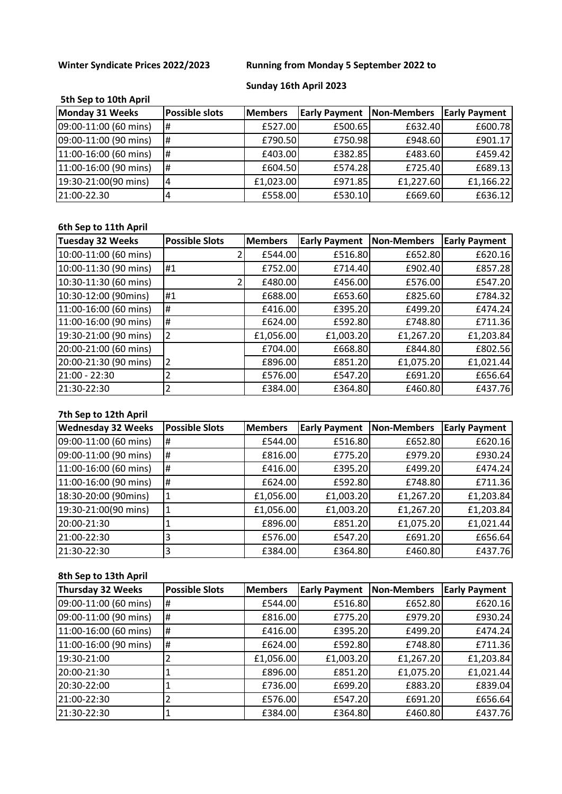# **Winter Syndicate Prices 2022/2023 Running from Monday 5 September 2022 to**

# **Sunday 16th April 2023**

# **5th Sep to 10th April**

| Monday 31 Weeks       | <b>Possible slots</b> | <b>Members</b> | <b>Early Payment</b> | Non-Members | <b>Early Payment</b> |
|-----------------------|-----------------------|----------------|----------------------|-------------|----------------------|
| 09:00-11:00 (60 mins) | l#                    | £527.00        | £500.65              | £632.40     | £600.78              |
| 09:00-11:00 (90 mins) | l#                    | £790.50        | £750.98              | £948.60     | £901.17              |
| 11:00-16:00 (60 mins) | Ħ                     | £403.00        | £382.85              | £483.60     | £459.42              |
| 11:00-16:00 (90 mins) | IĦ                    | £604.50        | £574.28              | £725.40     | £689.13              |
| 19:30-21:00(90 mins)  | 4                     | £1,023.00      | £971.85              | £1,227.60   | £1,166.22            |
| 21:00-22.30           |                       | £558.00        | £530.10              | £669.60     | £636.12              |

# **6th Sep to 11th April**

| <b>Tuesday 32 Weeks</b> | <b>Possible Slots</b> | <b>Members</b> | <b>Early Payment</b> | <b>Non-Members</b> | <b>Early Payment</b> |
|-------------------------|-----------------------|----------------|----------------------|--------------------|----------------------|
| 10:00-11:00 (60 mins)   |                       | £544.00        | £516.80              | £652.80            | £620.16              |
| 10:00-11:30 (90 mins)   | l#1                   | £752.00        | £714.40              | £902.40            | £857.28              |
| 10:30-11:30 (60 mins)   |                       | £480.00        | £456.00              | £576.00            | £547.20              |
| 10:30-12:00 (90mins)    | #1                    | £688.00        | £653.60              | £825.60            | £784.32              |
| 11:00-16:00 (60 mins)   | Ħ,                    | £416.00        | £395.20              | £499.20            | £474.24              |
| 11:00-16:00 (90 mins)   | Ħ,                    | £624.00        | £592.80              | £748.80            | £711.36              |
| 19:30-21:00 (90 mins)   | 2                     | £1,056.00      | £1,003.20            | £1,267.20          | £1,203.84            |
| 20:00-21:00 (60 mins)   |                       | £704.00        | £668.80              | £844.80            | £802.56              |
| 20:00-21:30 (90 mins)   |                       | £896.00        | £851.20              | £1,075.20          | £1,021.44            |
| 21:00 - 22:30           |                       | £576.00        | £547.20              | £691.20            | £656.64              |
| 21:30-22:30             |                       | £384.00        | £364.80              | £460.80            | £437.76              |

# **7th Sep to 12th April**

| <b>Wednesday 32 Weeks</b> | <b>Possible Slots</b> | <b>Members</b> | <b>Early Payment</b> | Non-Members | <b>Early Payment</b> |
|---------------------------|-----------------------|----------------|----------------------|-------------|----------------------|
| 09:00-11:00 (60 mins)     | Ħ                     | £544.00        | £516.80              | £652.80     | £620.16              |
| 09:00-11:00 (90 mins)     | Ħ                     | £816.00        | £775.20              | £979.20     | £930.24              |
| 11:00-16:00 (60 mins)     | #                     | £416.00        | £395.20              | £499.20     | £474.24              |
| 11:00-16:00 (90 mins)     | #                     | £624.00        | £592.80              | £748.80     | £711.36              |
| 18:30-20:00 (90mins)      |                       | £1,056.00      | £1,003.20            | £1,267.20   | £1,203.84            |
| 19:30-21:00(90 mins)      |                       | £1,056.00      | £1,003.20            | £1,267.20   | £1,203.84            |
| 20:00-21:30               |                       | £896.00        | £851.20              | £1,075.20   | £1,021.44            |
| 21:00-22:30               |                       | £576.00        | £547.20              | £691.20     | £656.64              |
| 21:30-22:30               | 3                     | £384.00        | £364.80              | £460.80     | £437.76              |

## **8th Sep to 13th April**

| Thursday 32 Weeks     | <b>Possible Slots</b> | <b>Members</b> | <b>Early Payment</b> | Non-Members | <b>Early Payment</b> |
|-----------------------|-----------------------|----------------|----------------------|-------------|----------------------|
| 09:00-11:00 (60 mins) | Ħ                     | £544.00        | £516.80              | £652.80     | £620.16              |
| 09:00-11:00 (90 mins) | l#                    | £816.00        | £775.20              | £979.20     | £930.24              |
| 11:00-16:00 (60 mins) | Ħ,                    | £416.00        | £395.20              | £499.20     | £474.24              |
| 11:00-16:00 (90 mins) | Ħ                     | £624.00        | £592.80              | £748.80     | £711.36              |
| 19:30-21:00           |                       | £1,056.00      | £1,003.20            | £1,267.20   | £1,203.84            |
| 20:00-21:30           |                       | £896.00        | £851.20              | £1,075.20   | £1,021.44            |
| 20:30-22:00           |                       | £736.00        | £699.20              | £883.20     | £839.04              |
| 21:00-22:30           |                       | £576.00        | £547.20              | £691.20     | £656.64              |
| 21:30-22:30           |                       | £384.00        | £364.80              | £460.80     | £437.76              |